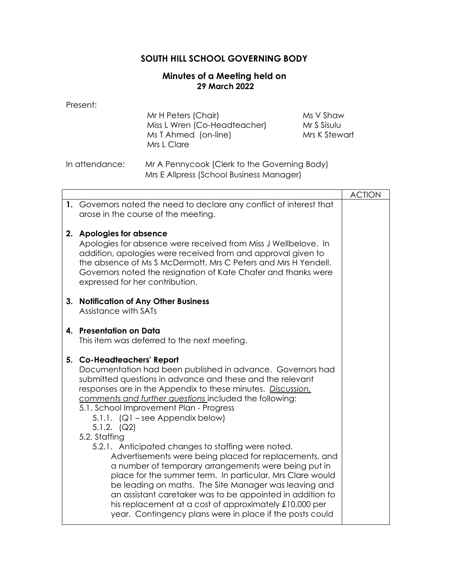## **SOUTH HILL SCHOOL GOVERNING BODY**

## **Minutes of a Meeting held on 29 March 2022**

|                                                                                                                                                                                                                                                                                                                                   | Present:                                                               |                                                                                                                                                                                                                                                                                                                                                                                                                                                                                                                                                                                                                                                                                                                                                                                                                    |                                           |               |  |
|-----------------------------------------------------------------------------------------------------------------------------------------------------------------------------------------------------------------------------------------------------------------------------------------------------------------------------------|------------------------------------------------------------------------|--------------------------------------------------------------------------------------------------------------------------------------------------------------------------------------------------------------------------------------------------------------------------------------------------------------------------------------------------------------------------------------------------------------------------------------------------------------------------------------------------------------------------------------------------------------------------------------------------------------------------------------------------------------------------------------------------------------------------------------------------------------------------------------------------------------------|-------------------------------------------|---------------|--|
|                                                                                                                                                                                                                                                                                                                                   |                                                                        | Mr H Peters (Chair)<br>Miss L Wren (Co-Headteacher)<br>Ms T Ahmed (on-line)<br>Mrs L Clare                                                                                                                                                                                                                                                                                                                                                                                                                                                                                                                                                                                                                                                                                                                         | Ms V Shaw<br>Mr S Sisulu<br>Mrs K Stewart |               |  |
| In attendance:                                                                                                                                                                                                                                                                                                                    |                                                                        | Mr A Pennycook (Clerk to the Governing Body)<br>Mrs E Allpress (School Business Manager)                                                                                                                                                                                                                                                                                                                                                                                                                                                                                                                                                                                                                                                                                                                           |                                           |               |  |
|                                                                                                                                                                                                                                                                                                                                   |                                                                        |                                                                                                                                                                                                                                                                                                                                                                                                                                                                                                                                                                                                                                                                                                                                                                                                                    |                                           | <b>ACTION</b> |  |
|                                                                                                                                                                                                                                                                                                                                   |                                                                        | 1. Governors noted the need to declare any conflict of interest that<br>arose in the course of the meeting.                                                                                                                                                                                                                                                                                                                                                                                                                                                                                                                                                                                                                                                                                                        |                                           |               |  |
| 2. Apologies for absence<br>Apologies for absence were received from Miss J Wellbelove. In<br>addition, apologies were received from and approval given to<br>the absence of Ms S McDermott, Mrs C Peters and Mrs H Yendell.<br>Governors noted the resignation of Kate Chafer and thanks were<br>expressed for her contribution. |                                                                        |                                                                                                                                                                                                                                                                                                                                                                                                                                                                                                                                                                                                                                                                                                                                                                                                                    |                                           |               |  |
|                                                                                                                                                                                                                                                                                                                                   | 3. Notification of Any Other Business<br>Assistance with SATs          |                                                                                                                                                                                                                                                                                                                                                                                                                                                                                                                                                                                                                                                                                                                                                                                                                    |                                           |               |  |
|                                                                                                                                                                                                                                                                                                                                   | 4. Presentation on Data<br>This item was deferred to the next meeting. |                                                                                                                                                                                                                                                                                                                                                                                                                                                                                                                                                                                                                                                                                                                                                                                                                    |                                           |               |  |
|                                                                                                                                                                                                                                                                                                                                   | 5. Co-Headteachers' Report<br>5.1.2. (Q2)<br>5.2. Staffing             | Documentation had been published in advance. Governors had<br>submitted questions in advance and these and the relevant<br>responses are in the Appendix to these minutes. Discussion,<br>comments and further questions included the following:<br>5.1. School Improvement Plan - Progress<br>5.1.1. $[Q]$ – see Appendix below)<br>5.2.1. Anticipated changes to staffing were noted.<br>Advertisements were being placed for replacements, and<br>a number of temporary arrangements were being put in<br>place for the summer term. In particular, Mrs Clare would<br>be leading on maths. The Site Manager was leaving and<br>an assistant caretaker was to be appointed in addition to<br>his replacement at a cost of approximately £10,000 per<br>year. Contingency plans were in place if the posts could |                                           |               |  |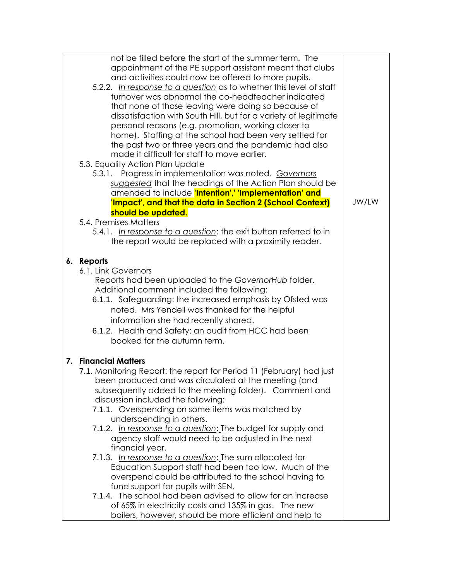| not be filled before the start of the summer term. The<br>appointment of the PE support assistant meant that clubs<br>and activities could now be offered to more pupils.<br>5.2.2. In response to a question as to whether this level of staff<br>turnover was abnormal the co-headteacher indicated<br>that none of those leaving were doing so because of<br>dissatisfaction with South Hill, but for a variety of legitimate<br>personal reasons (e.g. promotion, working closer to<br>home). Staffing at the school had been very settled for<br>the past two or three years and the pandemic had also<br>made it difficult for staff to move earlier.<br>5.3. Equality Action Plan Update<br>5.3.1. Progress in implementation was noted. Governors<br>suggested that the headings of the Action Plan should be<br>amended to include <i>'Intention',' 'Implementation' and</i><br>'Impact', and that the data in Section 2 (School Context)<br>should be updated.<br>5.4. Premises Matters | JW/LW |
|---------------------------------------------------------------------------------------------------------------------------------------------------------------------------------------------------------------------------------------------------------------------------------------------------------------------------------------------------------------------------------------------------------------------------------------------------------------------------------------------------------------------------------------------------------------------------------------------------------------------------------------------------------------------------------------------------------------------------------------------------------------------------------------------------------------------------------------------------------------------------------------------------------------------------------------------------------------------------------------------------|-------|
| 5.4.1. In response to a question: the exit button referred to in                                                                                                                                                                                                                                                                                                                                                                                                                                                                                                                                                                                                                                                                                                                                                                                                                                                                                                                                  |       |
| the report would be replaced with a proximity reader.                                                                                                                                                                                                                                                                                                                                                                                                                                                                                                                                                                                                                                                                                                                                                                                                                                                                                                                                             |       |
| 6. Reports<br>6.1. Link Governors<br>Reports had been uploaded to the GovernorHub folder.<br>Additional comment included the following:<br>6.1.1. Safeguarding: the increased emphasis by Ofsted was<br>noted. Mrs Yendell was thanked for the helpful<br>information she had recently shared.<br>6.1.2. Health and Safety: an audit from HCC had been<br>booked for the autumn term.                                                                                                                                                                                                                                                                                                                                                                                                                                                                                                                                                                                                             |       |
| <b>7. Financial Matters</b><br>7.1. Monitoring Report: the report for Period 11 (February) had just<br>been produced and was circulated at the meeting (and<br>subsequently added to the meeting folder). Comment and<br>discussion included the following:<br>7.1.1. Overspending on some items was matched by<br>underspending in others.<br>7.1.2. In response to a question: The budget for supply and<br>agency staff would need to be adjusted in the next<br>financial year.<br>7.1.3. In response to a question: The sum allocated for<br>Education Support staff had been too low. Much of the<br>overspend could be attributed to the school having to<br>fund support for pupils with SEN.<br>7.1.4. The school had been advised to allow for an increase<br>of 65% in electricity costs and 135% in gas. The new<br>boilers, however, should be more efficient and help to                                                                                                            |       |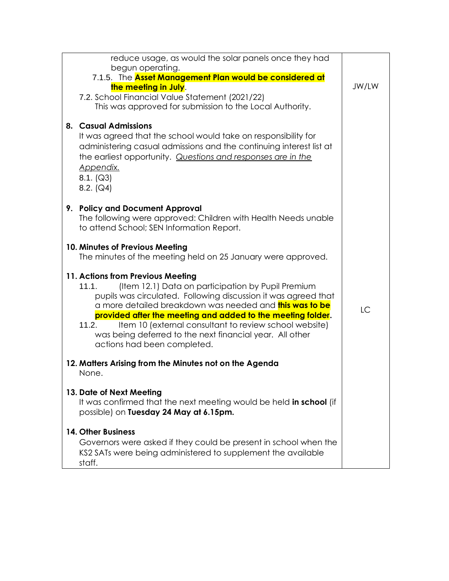| reduce usage, as would the solar panels once they had<br>begun operating.                                                                                                                                                                                                                                                                                                                                                          |       |  |  |
|------------------------------------------------------------------------------------------------------------------------------------------------------------------------------------------------------------------------------------------------------------------------------------------------------------------------------------------------------------------------------------------------------------------------------------|-------|--|--|
| 7.1.5. The Asset Management Plan would be considered at<br>the meeting in July.<br>7.2. School Financial Value Statement (2021/22)<br>This was approved for submission to the Local Authority.                                                                                                                                                                                                                                     | JW/LW |  |  |
| 8. Casual Admissions<br>It was agreed that the school would take on responsibility for<br>administering casual admissions and the continuing interest list at<br>the earliest opportunity. Questions and responses are in the<br>Appendix.<br>8.1. (Q3)<br>8.2. (Q4)                                                                                                                                                               |       |  |  |
| 9. Policy and Document Approval<br>The following were approved: Children with Health Needs unable<br>to attend School; SEN Information Report.                                                                                                                                                                                                                                                                                     |       |  |  |
| 10. Minutes of Previous Meeting<br>The minutes of the meeting held on 25 January were approved.                                                                                                                                                                                                                                                                                                                                    |       |  |  |
| 11. Actions from Previous Meeting<br>(Item 12.1) Data on participation by Pupil Premium<br>11.1.<br>pupils was circulated. Following discussion it was agreed that<br>a more detailed breakdown was needed and <b>this was to be</b><br>provided after the meeting and added to the meeting folder.<br>Item 10 (external consultant to review school website)<br>11.2.<br>was being deferred to the next financial year. All other | LC    |  |  |
| actions had been completed.                                                                                                                                                                                                                                                                                                                                                                                                        |       |  |  |
| 12. Matters Arising from the Minutes not on the Agenda<br>None.                                                                                                                                                                                                                                                                                                                                                                    |       |  |  |
| 13. Date of Next Meeting<br>It was confirmed that the next meeting would be held in school (if<br>possible) on Tuesday 24 May at 6.15pm.                                                                                                                                                                                                                                                                                           |       |  |  |
| <b>14. Other Business</b><br>Governors were asked if they could be present in school when the<br>KS2 SATs were being administered to supplement the available<br>staff.                                                                                                                                                                                                                                                            |       |  |  |